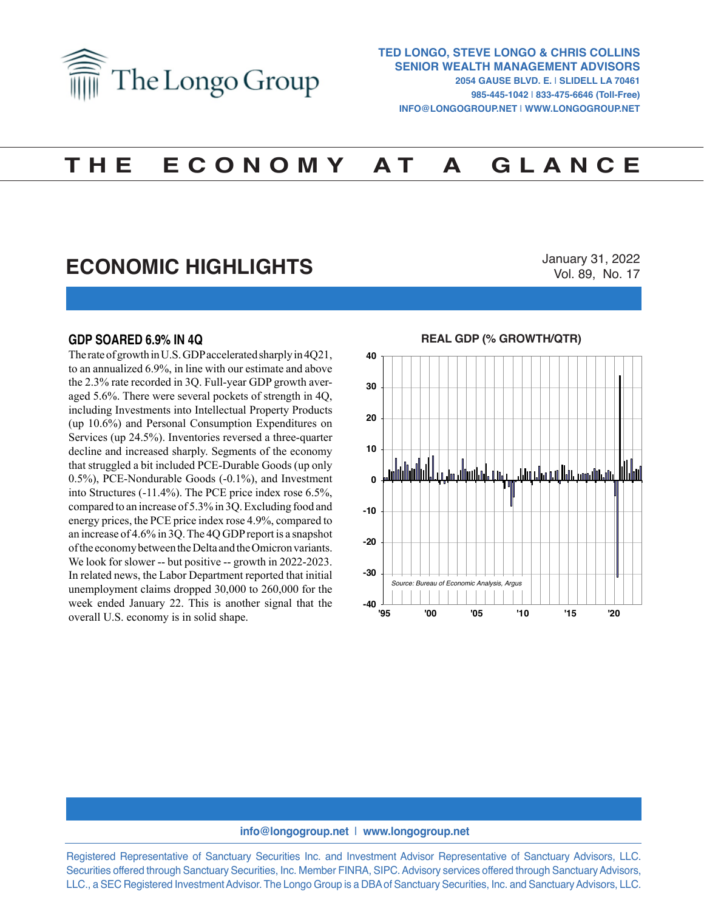

# **T H E E C O N O M Y A T A G L A N C E**

# **ECONOMIC HIGHLIGHTS**

January 31, 2022 Vol. 89, No. 17

### **GDP SOARED 6.9% IN 4Q**

The rate of growth in U.S. GDP accelerated sharply in 4Q21, to an annualized 6.9%, in line with our estimate and above the 2.3% rate recorded in 3Q. Full-year GDP growth averaged 5.6%. There were several pockets of strength in 4Q, including Investments into Intellectual Property Products (up 10.6%) and Personal Consumption Expenditures on Services (up 24.5%). Inventories reversed a three-quarter decline and increased sharply. Segments of the economy that struggled a bit included PCE-Durable Goods (up only 0.5%), PCE-Nondurable Goods (-0.1%), and Investment into Structures (-11.4%). The PCE price index rose 6.5%, compared to an increase of 5.3% in 3Q. Excluding food and energy prices, the PCE price index rose 4.9%, compared to an increase of 4.6% in 3Q. The 4Q GDP report is a snapshot of the economy between the Delta and the Omicron variants. We look for slower -- but positive -- growth in 2022-2023. In related news, the Labor Department reported that initial unemployment claims dropped 30,000 to 260,000 for the week ended January 22. This is another signal that the overall U.S. economy is in solid shape.



#### **info@longogroup.net** | **www.longogroup.net**

Registered Representative of Sanctuary Securities Inc. and Investment Advisor Representative of Sanctuary Advisors, LLC. Securities offered through Sanctuary Securities, Inc. Member FINRA, SIPC. Advisory services offered through Sanctuary Advisors, LLC., a SEC Registered Investment Advisor. The Longo Group is a DBA of Sanctuary Securities, Inc. and Sanctuary Advisors, LLC.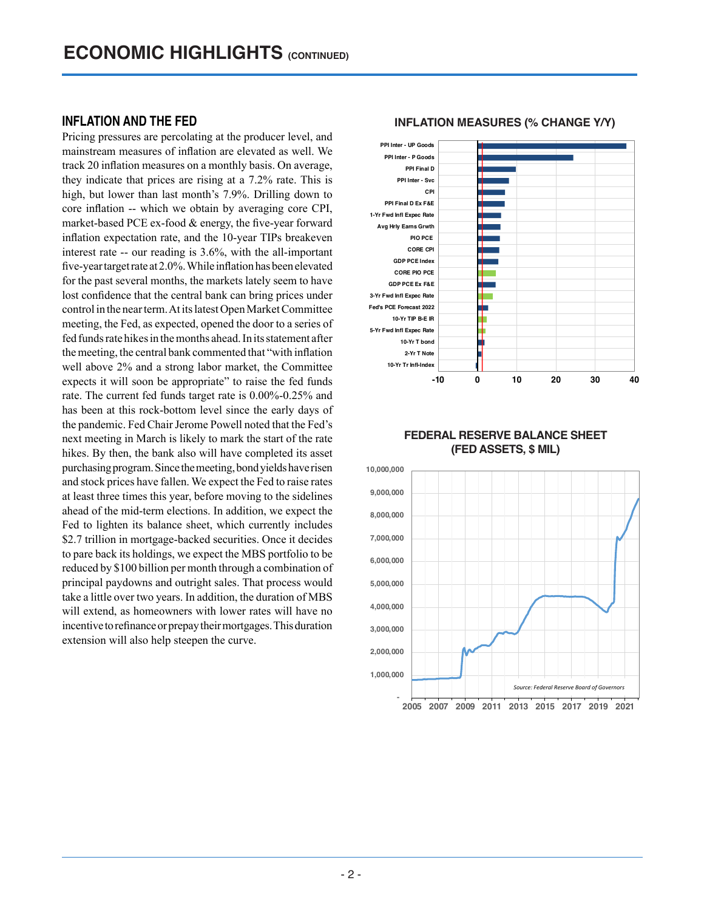# **INFLATION AND THE FED**

Pricing pressures are percolating at the producer level, and mainstream measures of inflation are elevated as well. We track 20 inflation measures on a monthly basis. On average, they indicate that prices are rising at a 7.2% rate. This is high, but lower than last month's 7.9%. Drilling down to core inflation -- which we obtain by averaging core CPI, market-based PCE ex-food & energy, the five-year forward inflation expectation rate, and the 10-year TIPs breakeven interest rate -- our reading is 3.6%, with the all-important five-year target rate at 2.0%. While inflation has been elevated for the past several months, the markets lately seem to have lost confidence that the central bank can bring prices under control in the near term. At its latest Open Market Committee meeting, the Fed, as expected, opened the door to a series of fed funds rate hikes in the months ahead. In its statement after the meeting, the central bank commented that "with inflation well above 2% and a strong labor market, the Committee expects it will soon be appropriate" to raise the fed funds rate. The current fed funds target rate is 0.00%-0.25% and has been at this rock-bottom level since the early days of the pandemic. Fed Chair Jerome Powell noted that the Fed's next meeting in March is likely to mark the start of the rate hikes. By then, the bank also will have completed its asset purchasing program. Since the meeting, bond yields have risen and stock prices have fallen. We expect the Fed to raise rates at least three times this year, before moving to the sidelines ahead of the mid-term elections. In addition, we expect the Fed to lighten its balance sheet, which currently includes \$2.7 trillion in mortgage-backed securities. Once it decides to pare back its holdings, we expect the MBS portfolio to be reduced by \$100 billion per month through a combination of principal paydowns and outright sales. That process would take a little over two years. In addition, the duration of MBS will extend, as homeowners with lower rates will have no incentive to refinance or prepay their mortgages. This duration extension will also help steepen the curve.

#### **-10 0 10 20 30 40 10-Yr Tr Infl-Index 2-Yr T Note 10-Yr T bond 5-Yr Fwd Infl Expec Rate 10-Yr TIP B-E IR Fed's PCE Forecast 2022 3-Yr Fwd Infl Expec Rate GDP PCE Ex F&E CORE PIO PCE GDP PCE Index CORE CPI PIO PCE Avg Hrly Earns Grwth 1-Yr Fwd Infl Expec Rate PPI Final D Ex F&E CPI PPI Inter - Svc PPI Final D PPI Inter - P Goods PPI Inter - UP Goods**

### **INFLATION MEASURES (% CHANGE Y/Y)**

## **FEDERAL RESERVE BALANCE SHEET (FED ASSETS, \$ MIL)**

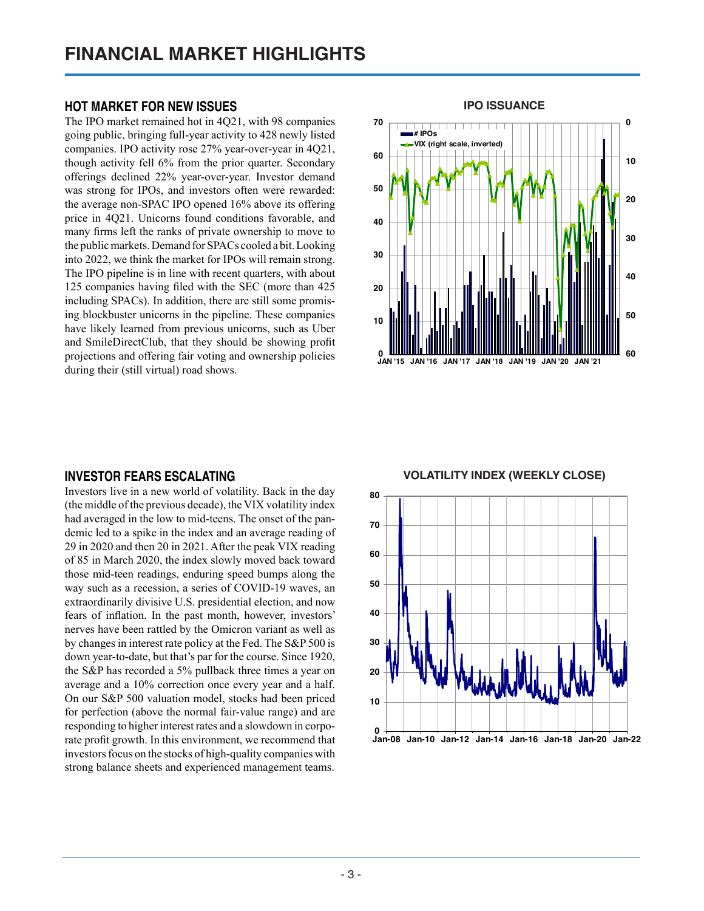# **HOT MARKET FOR NEW ISSUES**

The IPO market remained hot in 4Q21, with 98 companies going public, bringing full-year activity to 428 newly listed companies. IPO activity rose 27% year-over-year in 4Q21, though activity fell 6% from the prior quarter. Secondary offerings declined 22% year-over-year. Investor demand was strong for IPOs, and investors often were rewarded: the average non-SPAC IPO opened 16% above its offering price in 4Q21. Unicorns found conditions favorable, and many firms left the ranks of private ownership to move to the public markets. Demand for SPACs cooled a bit. Looking into 2022, we think the market for IPOs will remain strong. The IPO pipeline is in line with recent quarters, with about 125 companies having filed with the SEC (more than 425 including SPACs). In addition, there are still some promising blockbuster unicorns in the pipeline. These companies have likely learned from previous unicorns, such as Uber and SmileDirectClub, that they should be showing profit projections and offering fair voting and ownership policies during their (still virtual) road shows.



# **INVESTOR FEARS ESCALATING**

Investors live in a new world of volatility. Back in the day (the middle of the previous decade), the VIX volatility index had averaged in the low to mid-teens. The onset of the pandemic led to a spike in the index and an average reading of 29 in 2020 and then 20 in 2021. After the peak VIX reading of 85 in March 2020, the index slowly moved back toward those mid-teen readings, enduring speed bumps along the way such as a recession, a series of COVID-19 waves, an extraordinarily divisive U.S. presidential election, and now fears of inflation. In the past month, however, investors' nerves have been rattled by the Omicron variant as well as by changes in interest rate policy at the Fed. The S&P 500 is down year-to-date, but that's par for the course. Since 1920, the S&P has recorded a 5% pullback three times a year on average and a 10% correction once every year and a half. On our S&P 500 valuation model, stocks had been priced for perfection (above the normal fair-value range) and are responding to higher interest rates and a slowdown in corporate profit growth. In this environment, we recommend that investors focus on the stocks of high-quality companies with strong balance sheets and experienced management teams.